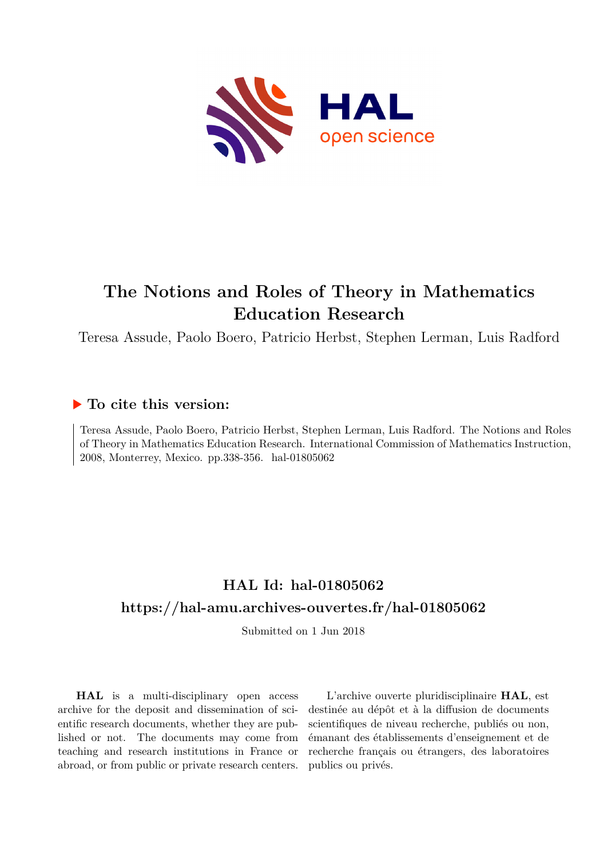

# **The Notions and Roles of Theory in Mathematics Education Research**

Teresa Assude, Paolo Boero, Patricio Herbst, Stephen Lerman, Luis Radford

## **To cite this version:**

Teresa Assude, Paolo Boero, Patricio Herbst, Stephen Lerman, Luis Radford. The Notions and Roles of Theory in Mathematics Education Research. International Commission of Mathematics Instruction, 2008, Monterrey, Mexico. pp.338-356. hal-01805062

# **HAL Id: hal-01805062 <https://hal-amu.archives-ouvertes.fr/hal-01805062>**

Submitted on 1 Jun 2018

**HAL** is a multi-disciplinary open access archive for the deposit and dissemination of scientific research documents, whether they are published or not. The documents may come from teaching and research institutions in France or abroad, or from public or private research centers.

L'archive ouverte pluridisciplinaire **HAL**, est destinée au dépôt et à la diffusion de documents scientifiques de niveau recherche, publiés ou non, émanant des établissements d'enseignement et de recherche français ou étrangers, des laboratoires publics ou privés.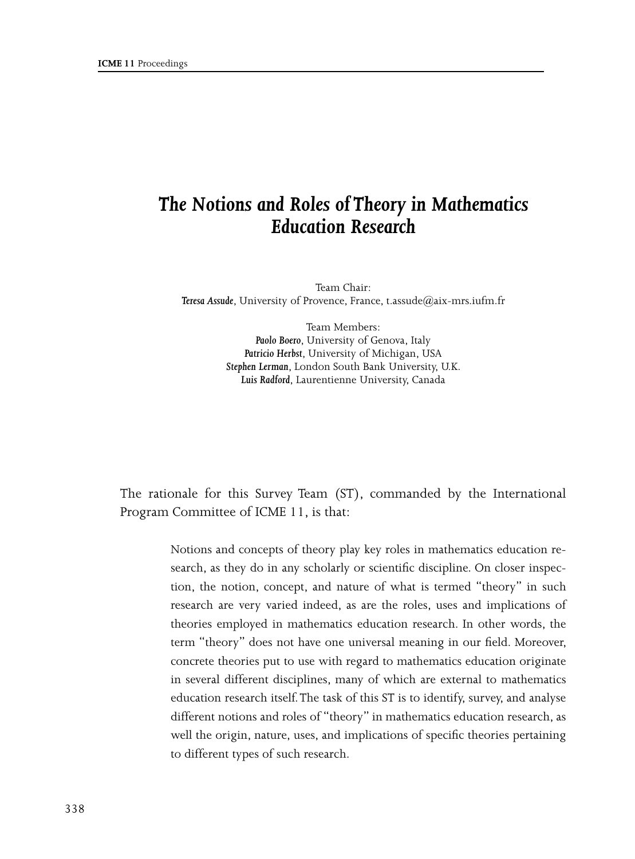## *The Notions and Roles of Theory in Mathematics Education Research*

Team Chair: *Teresa Assude*, University of Provence, France, t.assude@aix-mrs.iufm.fr

> Team Members: *Paolo Boero*, University of Genova, Italy *Patricio Herbst*, University of Michigan, USA *Stephen Lerman*, London South Bank University, U.K. *Luis Radford*, Laurentienne University, Canada

The rationale for this Survey Team (ST), commanded by the International Program Committee of ICME 11, is that:

> Notions and concepts of theory play key roles in mathematics education research, as they do in any scholarly or scientific discipline. On closer inspection, the notion, concept, and nature of what is termed "theory" in such research are very varied indeed, as are the roles, uses and implications of theories employed in mathematics education research. In other words, the term "theory" does not have one universal meaning in our field. Moreover, concrete theories put to use with regard to mathematics education originate in several different disciplines, many of which are external to mathematics education research itself. The task of this ST is to identify, survey, and analyse different notions and roles of "theory" in mathematics education research, as well the origin, nature, uses, and implications of specific theories pertaining to different types of such research.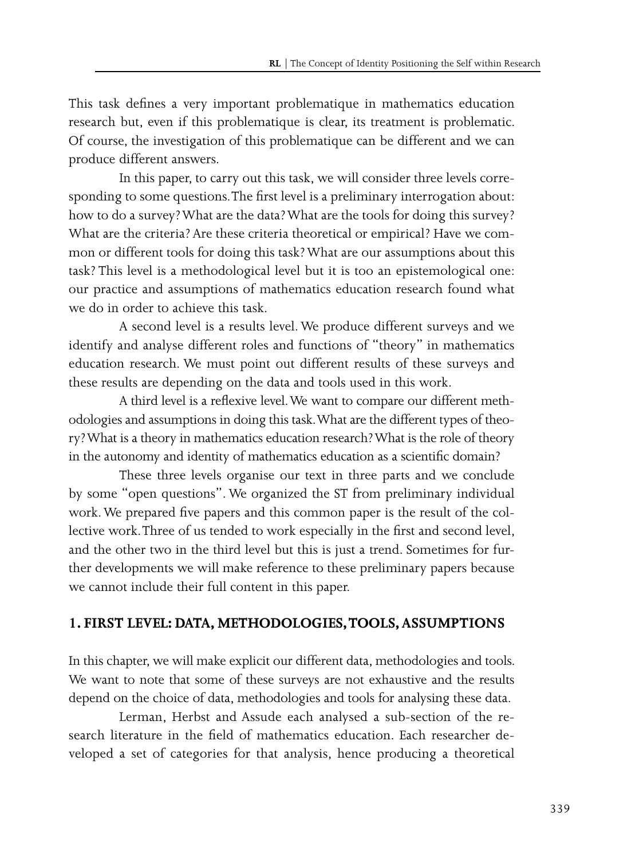This task defines a very important problematique in mathematics education research but, even if this problematique is clear, its treatment is problematic. Of course, the investigation of this problematique can be different and we can produce different answers.

In this paper, to carry out this task, we will consider three levels corresponding to some questions. The first level is a preliminary interrogation about: how to do a survey? What are the data? What are the tools for doing this survey? What are the criteria? Are these criteria theoretical or empirical? Have we common or different tools for doing this task? What are our assumptions about this task? This level is a methodological level but it is too an epistemological one: our practice and assumptions of mathematics education research found what we do in order to achieve this task.

A second level is a results level. We produce different surveys and we identify and analyse different roles and functions of "theory" in mathematics education research. We must point out different results of these surveys and these results are depending on the data and tools used in this work.

A third level is a reflexive level. We want to compare our different methodologies and assumptions in doing this task. What are the different types of theory? What is a theory in mathematics education research? What is the role of theory in the autonomy and identity of mathematics education as a scientific domain?

These three levels organise our text in three parts and we conclude by some "open questions". We organized the ST from preliminary individual work. We prepared five papers and this common paper is the result of the collective work. Three of us tended to work especially in the first and second level, and the other two in the third level but this is just a trend. Sometimes for further developments we will make reference to these preliminary papers because we cannot include their full content in this paper.

#### **1. FIRST LEVEL: DATA, METHODOLOGIES, TOOLS, ASSUMPTIONS**

In this chapter, we will make explicit our different data, methodologies and tools. We want to note that some of these surveys are not exhaustive and the results depend on the choice of data, methodologies and tools for analysing these data.

Lerman, Herbst and Assude each analysed a sub-section of the research literature in the field of mathematics education. Each researcher developed a set of categories for that analysis, hence producing a theoretical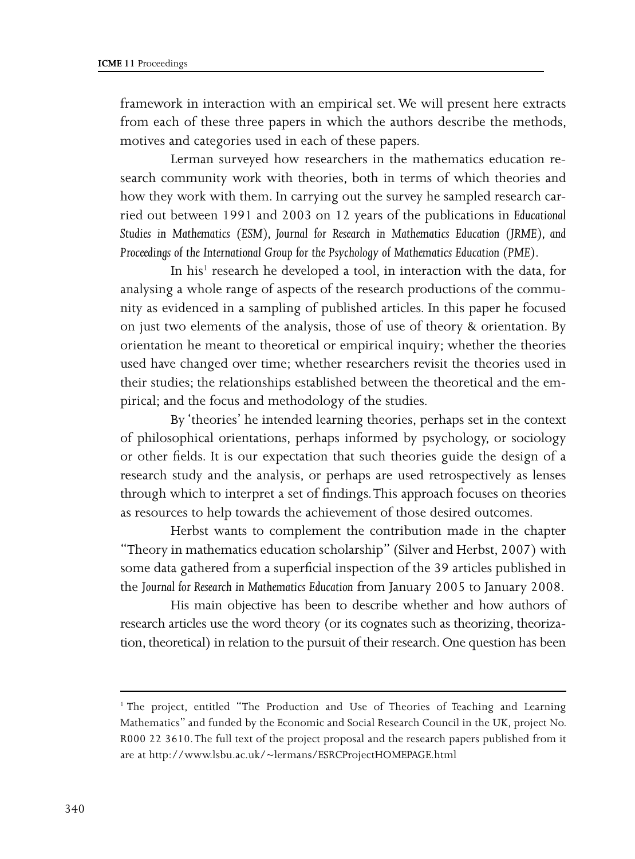framework in interaction with an empirical set. We will present here extracts from each of these three papers in which the authors describe the methods, motives and categories used in each of these papers.

Lerman surveyed how researchers in the mathematics education research community work with theories, both in terms of which theories and how they work with them. In carrying out the survey he sampled research carried out between 1991 and 2003 on 12 years of the publications in *Educational Studies in Mathematics (ESM), Journal for Research in Mathematics Education (JRME), and Proceedings of the International Group for the Psychology of Mathematics Education (PME)*.

In his<sup>1</sup> research he developed a tool, in interaction with the data, for analysing a whole range of aspects of the research productions of the community as evidenced in a sampling of published articles. In this paper he focused on just two elements of the analysis, those of use of theory & orientation. By orientation he meant to theoretical or empirical inquiry; whether the theories used have changed over time; whether researchers revisit the theories used in their studies; the relationships established between the theoretical and the empirical; and the focus and methodology of the studies.

By 'theories' he intended learning theories, perhaps set in the context of philosophical orientations, perhaps informed by psychology, or sociology or other fields. It is our expectation that such theories guide the design of a research study and the analysis, or perhaps are used retrospectively as lenses through which to interpret a set of findings. This approach focuses on theories as resources to help towards the achievement of those desired outcomes.

Herbst wants to complement the contribution made in the chapter "Theory in mathematics education scholarship" (Silver and Herbst, 2007) with some data gathered from a superficial inspection of the 39 articles published in the J*ournal for Research in Mathematics Education* from January 2005 to January 2008.

His main objective has been to describe whether and how authors of research articles use the word theory (or its cognates such as theorizing, theorization, theoretical) in relation to the pursuit of their research. One question has been

<sup>&</sup>lt;sup>1</sup> The project, entitled "The Production and Use of Theories of Teaching and Learning Mathematics" and funded by the Economic and Social Research Council in the UK, project No. R000 22 3610. The full text of the project proposal and the research papers published from it are at http://www.lsbu.ac.uk/~lermans/ESRCProjectHOMEPAGE.html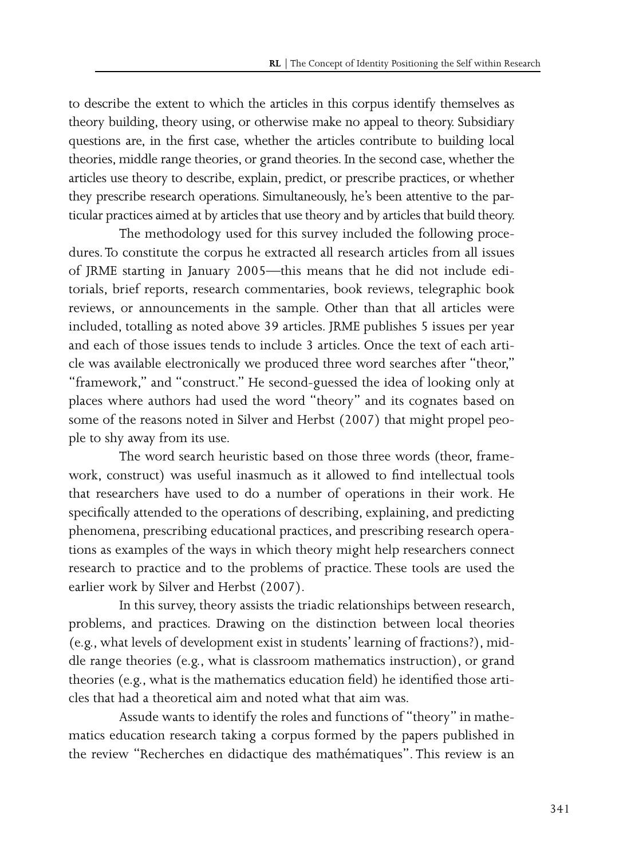to describe the extent to which the articles in this corpus identify themselves as theory building, theory using, or otherwise make no appeal to theory. Subsidiary questions are, in the first case, whether the articles contribute to building local theories, middle range theories, or grand theories. In the second case, whether the articles use theory to describe, explain, predict, or prescribe practices, or whether they prescribe research operations. Simultaneously, he's been attentive to the particular practices aimed at by articles that use theory and by articles that build theory.

The methodology used for this survey included the following procedures. To constitute the corpus he extracted all research articles from all issues of JRME starting in January 2005—this means that he did not include editorials, brief reports, research commentaries, book reviews, telegraphic book reviews, or announcements in the sample. Other than that all articles were included, totalling as noted above 39 articles. JRME publishes 5 issues per year and each of those issues tends to include 3 articles. Once the text of each article was available electronically we produced three word searches after "theor," "framework," and "construct." He second-guessed the idea of looking only at places where authors had used the word "theory" and its cognates based on some of the reasons noted in Silver and Herbst (2007) that might propel people to shy away from its use.

The word search heuristic based on those three words (theor, framework, construct) was useful inasmuch as it allowed to find intellectual tools that researchers have used to do a number of operations in their work. He specifically attended to the operations of describing, explaining, and predicting phenomena, prescribing educational practices, and prescribing research operations as examples of the ways in which theory might help researchers connect research to practice and to the problems of practice. These tools are used the earlier work by Silver and Herbst (2007).

In this survey, theory assists the triadic relationships between research, problems, and practices. Drawing on the distinction between local theories (e.g., what levels of development exist in students' learning of fractions?), middle range theories (e.g., what is classroom mathematics instruction), or grand theories (e.g., what is the mathematics education field) he identified those articles that had a theoretical aim and noted what that aim was.

Assude wants to identify the roles and functions of "theory" in mathematics education research taking a corpus formed by the papers published in the review "Recherches en didactique des mathématiques". This review is an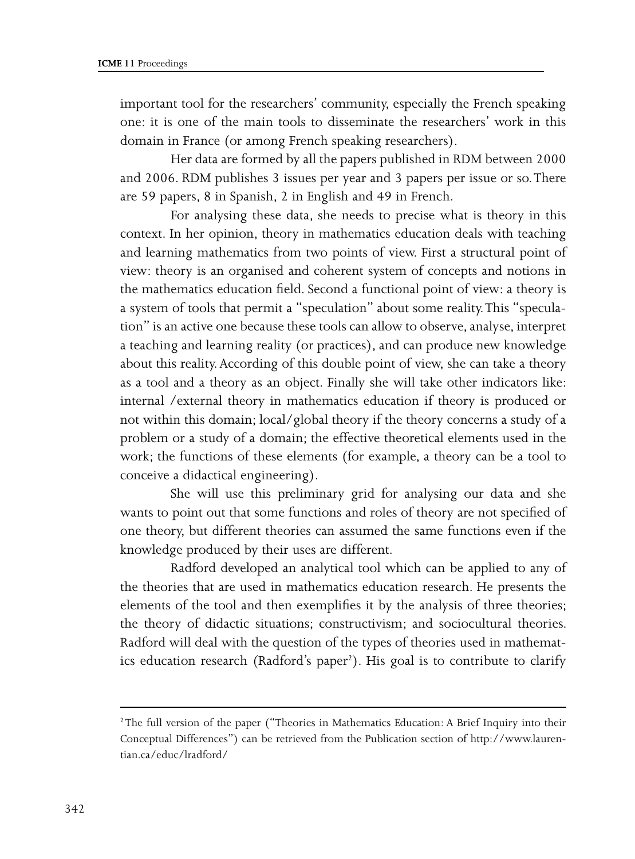important tool for the researchers' community, especially the French speaking one: it is one of the main tools to disseminate the researchers' work in this domain in France (or among French speaking researchers).

Her data are formed by all the papers published in RDM between 2000 and 2006. RDM publishes 3 issues per year and 3 papers per issue or so. There are 59 papers, 8 in Spanish, 2 in English and 49 in French.

For analysing these data, she needs to precise what is theory in this context. In her opinion, theory in mathematics education deals with teaching and learning mathematics from two points of view. First a structural point of view: theory is an organised and coherent system of concepts and notions in the mathematics education field. Second a functional point of view: a theory is a system of tools that permit a "speculation" about some reality. This "speculation" is an active one because these tools can allow to observe, analyse, interpret a teaching and learning reality (or practices), and can produce new knowledge about this reality. According of this double point of view, she can take a theory as a tool and a theory as an object. Finally she will take other indicators like: internal /external theory in mathematics education if theory is produced or not within this domain; local/global theory if the theory concerns a study of a problem or a study of a domain; the effective theoretical elements used in the work; the functions of these elements (for example, a theory can be a tool to conceive a didactical engineering).

She will use this preliminary grid for analysing our data and she wants to point out that some functions and roles of theory are not specified of one theory, but different theories can assumed the same functions even if the knowledge produced by their uses are different.

Radford developed an analytical tool which can be applied to any of the theories that are used in mathematics education research. He presents the elements of the tool and then exemplifies it by the analysis of three theories; the theory of didactic situations; constructivism; and sociocultural theories. Radford will deal with the question of the types of theories used in mathematics education research (Radford's paper<sup>2</sup>). His goal is to contribute to clarify

<sup>2</sup> The full version of the paper ("Theories in Mathematics Education: A Brief Inquiry into their Conceptual Differences") can be retrieved from the Publication section of http://www.laurentian.ca/educ/lradford/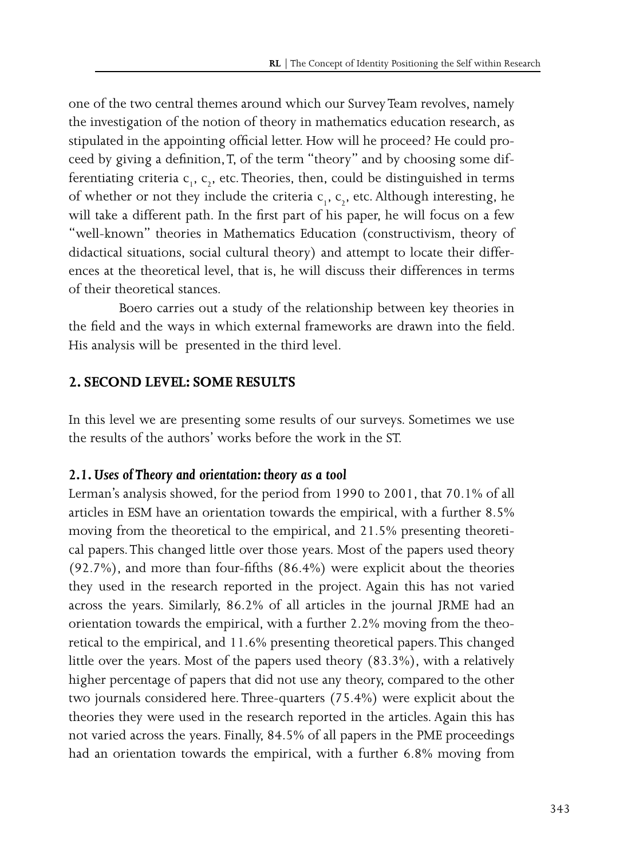one of the two central themes around which our Survey Team revolves, namely the investigation of the notion of theory in mathematics education research, as stipulated in the appointing official letter. How will he proceed? He could proceed by giving a definition, T, of the term "theory" and by choosing some differentiating criteria  $c_1$ ,  $c_2$ , etc. Theories, then, could be distinguished in terms of whether or not they include the criteria  $c_1$ ,  $c_2$ , etc. Although interesting, he will take a different path. In the first part of his paper, he will focus on a few "well-known" theories in Mathematics Education (constructivism, theory of didactical situations, social cultural theory) and attempt to locate their differences at the theoretical level, that is, he will discuss their differences in terms of their theoretical stances.

Boero carries out a study of the relationship between key theories in the field and the ways in which external frameworks are drawn into the field. His analysis will be presented in the third level.

#### **2. SECOND LEVEL: SOME RESULTS**

In this level we are presenting some results of our surveys. Sometimes we use the results of the authors' works before the work in the ST.

#### *2.1. Uses of Theory and orientation: theory as a tool*

Lerman's analysis showed, for the period from 1990 to 2001, that 70.1% of all articles in ESM have an orientation towards the empirical, with a further 8.5% moving from the theoretical to the empirical, and 21.5% presenting theoretical papers. This changed little over those years. Most of the papers used theory (92.7%), and more than four-fifths (86.4%) were explicit about the theories they used in the research reported in the project. Again this has not varied across the years. Similarly, 86.2% of all articles in the journal JRME had an orientation towards the empirical, with a further 2.2% moving from the theoretical to the empirical, and 11.6% presenting theoretical papers. This changed little over the years. Most of the papers used theory (83.3%), with a relatively higher percentage of papers that did not use any theory, compared to the other two journals considered here. Three-quarters (75.4%) were explicit about the theories they were used in the research reported in the articles. Again this has not varied across the years. Finally, 84.5% of all papers in the PME proceedings had an orientation towards the empirical, with a further 6.8% moving from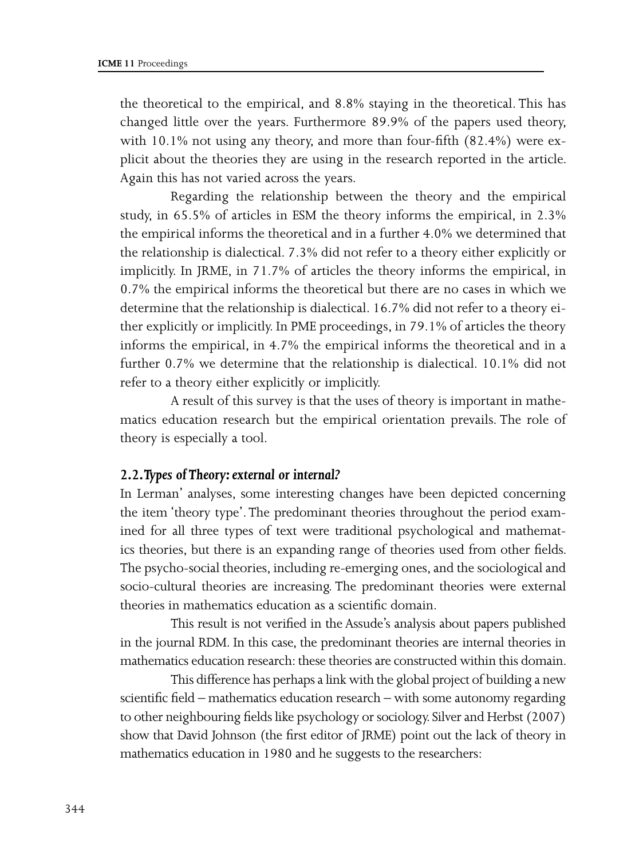the theoretical to the empirical, and 8.8% staying in the theoretical. This has changed little over the years. Furthermore 89.9% of the papers used theory, with 10.1% not using any theory, and more than four-fifth (82.4%) were explicit about the theories they are using in the research reported in the article. Again this has not varied across the years.

Regarding the relationship between the theory and the empirical study, in 65.5% of articles in ESM the theory informs the empirical, in 2.3% the empirical informs the theoretical and in a further 4.0% we determined that the relationship is dialectical. 7.3% did not refer to a theory either explicitly or implicitly. In JRME, in 71.7% of articles the theory informs the empirical, in 0.7% the empirical informs the theoretical but there are no cases in which we determine that the relationship is dialectical. 16.7% did not refer to a theory either explicitly or implicitly. In PME proceedings, in 79.1% of articles the theory informs the empirical, in 4.7% the empirical informs the theoretical and in a further 0.7% we determine that the relationship is dialectical. 10.1% did not refer to a theory either explicitly or implicitly.

A result of this survey is that the uses of theory is important in mathematics education research but the empirical orientation prevails. The role of theory is especially a tool.

#### *2.2. Types of Theory: external or internal?*

In Lerman' analyses, some interesting changes have been depicted concerning the item 'theory type'. The predominant theories throughout the period examined for all three types of text were traditional psychological and mathematics theories, but there is an expanding range of theories used from other fields. The psycho-social theories, including re-emerging ones, and the sociological and socio-cultural theories are increasing. The predominant theories were external theories in mathematics education as a scientific domain.

This result is not verified in the Assude's analysis about papers published in the journal RDM. In this case, the predominant theories are internal theories in mathematics education research: these theories are constructed within this domain.

This difference has perhaps a link with the global project of building a new scientific field – mathematics education research – with some autonomy regarding to other neighbouring fields like psychology or sociology. Silver and Herbst (2007) show that David Johnson (the first editor of JRME) point out the lack of theory in mathematics education in 1980 and he suggests to the researchers: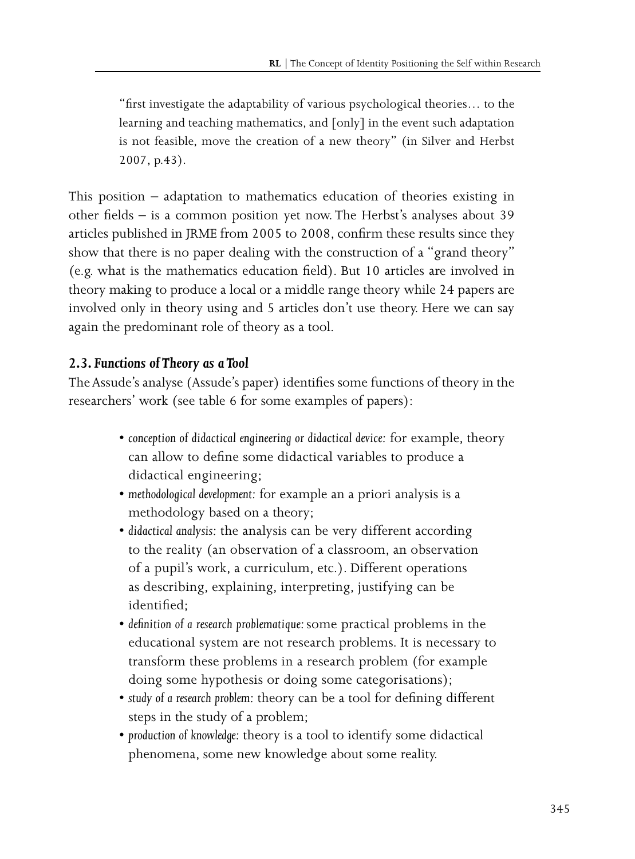"first investigate the adaptability of various psychological theories… to the learning and teaching mathematics, and [only] in the event such adaptation is not feasible, move the creation of a new theory" (in Silver and Herbst 2007, p.43).

This position – adaptation to mathematics education of theories existing in other fields – is a common position yet now. The Herbst's analyses about 39 articles published in JRME from 2005 to 2008, confirm these results since they show that there is no paper dealing with the construction of a "grand theory" (e.g. what is the mathematics education field). But 10 articles are involved in theory making to produce a local or a middle range theory while 24 papers are involved only in theory using and 5 articles don't use theory. Here we can say again the predominant role of theory as a tool.

### *2.3. Functions of Theory as a Tool*

The Assude's analyse (Assude's paper) identifies some functions of theory in the researchers' work (see table 6 for some examples of papers):

- conception of didactical engineering or didactical device: for example, theory can allow to define some didactical variables to produce a didactical engineering;
- s*methodological development:* for example an a priori analysis is a methodology based on a theory;
- didactical analysis: the analysis can be very different according to the reality (an observation of a classroom, an observation of a pupil's work, a curriculum, etc.). Different operations as describing, explaining, interpreting, justifying can be identified;
- s*definition of a research problematique:* some practical problems in the educational system are not research problems. It is necessary to transform these problems in a research problem (for example doing some hypothesis or doing some categorisations);
- s*study of a research problem:* theory can be a tool for defining different steps in the study of a problem;
- production of knowledge: theory is a tool to identify some didactical phenomena, some new knowledge about some reality.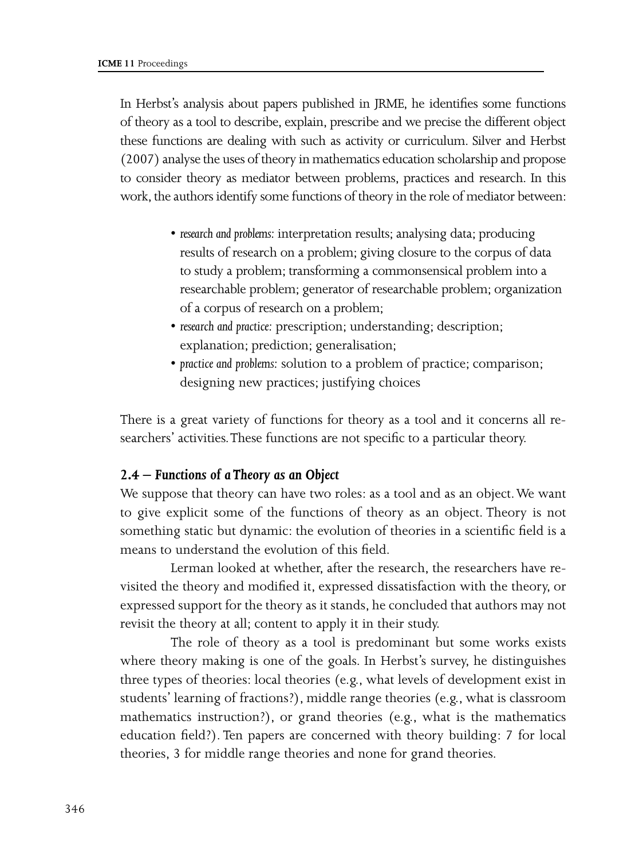In Herbst's analysis about papers published in JRME, he identifies some functions of theory as a tool to describe, explain, prescribe and we precise the different object these functions are dealing with such as activity or curriculum. Silver and Herbst (2007) analyse the uses of theory in mathematics education scholarship and propose to consider theory as mediator between problems, practices and research. In this work, the authors identify some functions of theory in the role of mediator between:

- research and problems: interpretation results; analysing data; producing results of research on a problem; giving closure to the corpus of data to study a problem; transforming a commonsensical problem into a researchable problem; generator of researchable problem; organization of a corpus of research on a problem;
- research and practice: prescription; understanding; description; explanation; prediction; generalisation;
- s*practice and problems:* solution to a problem of practice; comparison; designing new practices; justifying choices

There is a great variety of functions for theory as a tool and it concerns all researchers' activities. These functions are not specific to a particular theory.

#### *2.4 – Functions of a Theory as an Object*

We suppose that theory can have two roles: as a tool and as an object. We want to give explicit some of the functions of theory as an object. Theory is not something static but dynamic: the evolution of theories in a scientific field is a means to understand the evolution of this field.

Lerman looked at whether, after the research, the researchers have revisited the theory and modified it, expressed dissatisfaction with the theory, or expressed support for the theory as it stands, he concluded that authors may not revisit the theory at all; content to apply it in their study.

The role of theory as a tool is predominant but some works exists where theory making is one of the goals. In Herbst's survey, he distinguishes three types of theories: local theories (e.g., what levels of development exist in students' learning of fractions?), middle range theories (e.g., what is classroom mathematics instruction?), or grand theories (e.g., what is the mathematics education field?). Ten papers are concerned with theory building: 7 for local theories, 3 for middle range theories and none for grand theories.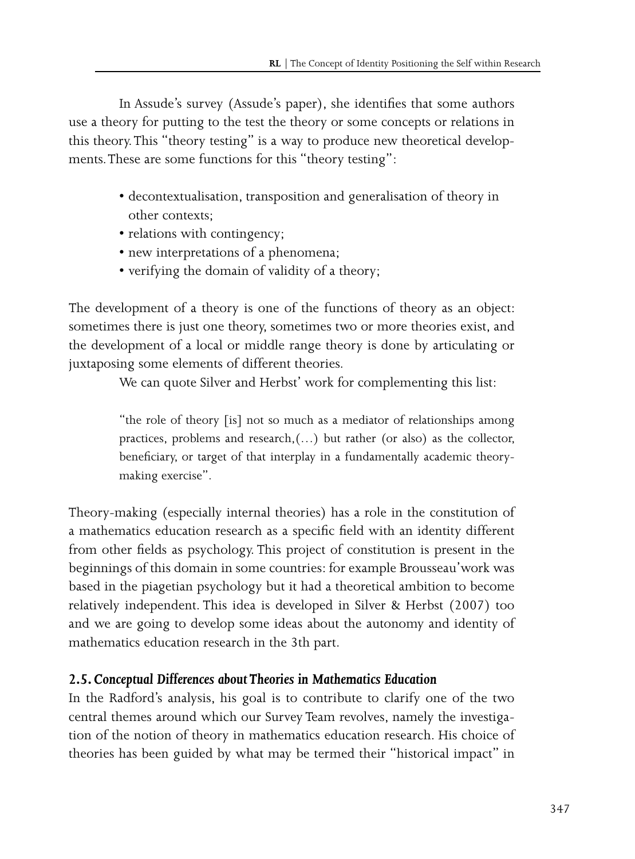In Assude's survey (Assude's paper), she identifies that some authors use a theory for putting to the test the theory or some concepts or relations in this theory. This "theory testing" is a way to produce new theoretical developments. These are some functions for this "theory testing":

- decontextualisation, transposition and generalisation of theory in other contexts;
- relations with contingency;
- new interpretations of a phenomena;
- verifying the domain of validity of a theory;

The development of a theory is one of the functions of theory as an object: sometimes there is just one theory, sometimes two or more theories exist, and the development of a local or middle range theory is done by articulating or juxtaposing some elements of different theories.

We can quote Silver and Herbst' work for complementing this list:

"the role of theory [is] not so much as a mediator of relationships among practices, problems and research,(…) but rather (or also) as the collector, beneficiary, or target of that interplay in a fundamentally academic theorymaking exercise".

Theory-making (especially internal theories) has a role in the constitution of a mathematics education research as a specific field with an identity different from other fields as psychology. This project of constitution is present in the beginnings of this domain in some countries: for example Brousseau'work was based in the piagetian psychology but it had a theoretical ambition to become relatively independent. This idea is developed in Silver & Herbst (2007) too and we are going to develop some ideas about the autonomy and identity of mathematics education research in the 3th part.

### *2.5. Conceptual Differences about Theories in Mathematics Education*

In the Radford's analysis, his goal is to contribute to clarify one of the two central themes around which our Survey Team revolves, namely the investigation of the notion of theory in mathematics education research. His choice of theories has been guided by what may be termed their "historical impact" in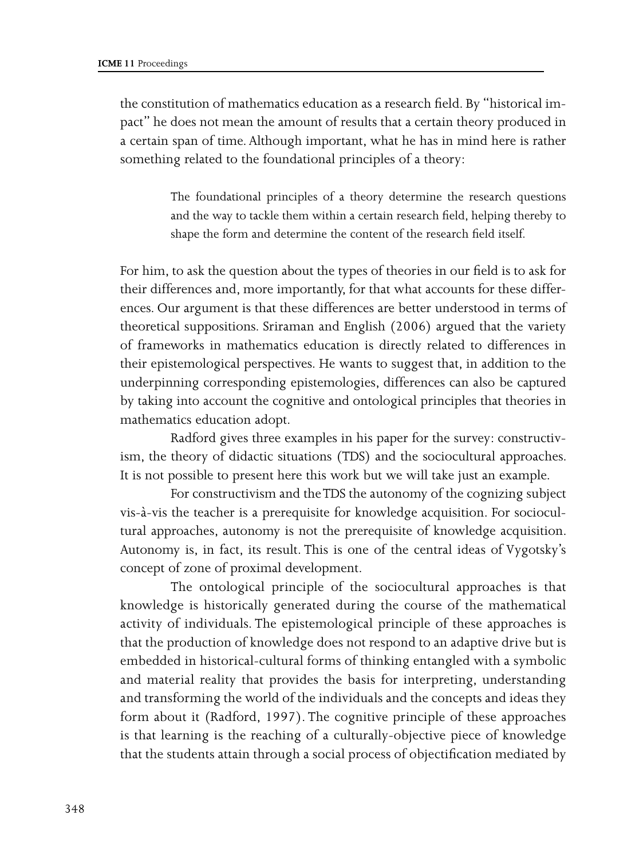the constitution of mathematics education as a research field. By "historical impact" he does not mean the amount of results that a certain theory produced in a certain span of time. Although important, what he has in mind here is rather something related to the foundational principles of a theory:

> The foundational principles of a theory determine the research questions and the way to tackle them within a certain research field, helping thereby to shape the form and determine the content of the research field itself.

For him, to ask the question about the types of theories in our field is to ask for their differences and, more importantly, for that what accounts for these differences. Our argument is that these differences are better understood in terms of theoretical suppositions. Sriraman and English (2006) argued that the variety of frameworks in mathematics education is directly related to differences in their epistemological perspectives. He wants to suggest that, in addition to the underpinning corresponding epistemologies, differences can also be captured by taking into account the cognitive and ontological principles that theories in mathematics education adopt.

Radford gives three examples in his paper for the survey: constructivism, the theory of didactic situations (TDS) and the sociocultural approaches. It is not possible to present here this work but we will take just an example.

For constructivism and the TDS the autonomy of the cognizing subject vis-à-vis the teacher is a prerequisite for knowledge acquisition. For sociocultural approaches, autonomy is not the prerequisite of knowledge acquisition. Autonomy is, in fact, its result. This is one of the central ideas of Vygotsky's concept of zone of proximal development.

The ontological principle of the sociocultural approaches is that knowledge is historically generated during the course of the mathematical activity of individuals. The epistemological principle of these approaches is that the production of knowledge does not respond to an adaptive drive but is embedded in historical-cultural forms of thinking entangled with a symbolic and material reality that provides the basis for interpreting, understanding and transforming the world of the individuals and the concepts and ideas they form about it (Radford, 1997). The cognitive principle of these approaches is that learning is the reaching of a culturally-objective piece of knowledge that the students attain through a social process of objectification mediated by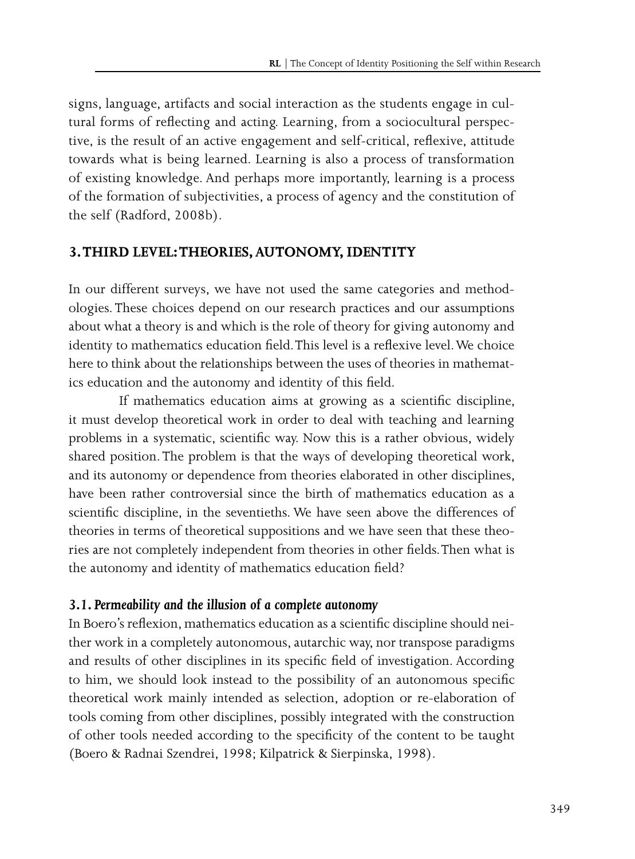signs, language, artifacts and social interaction as the students engage in cultural forms of reflecting and acting. Learning, from a sociocultural perspective, is the result of an active engagement and self-critical, reflexive, attitude towards what is being learned. Learning is also a process of transformation of existing knowledge. And perhaps more importantly, learning is a process of the formation of subjectivities, a process of agency and the constitution of the self (Radford, 2008b).

#### **3. THIRD LEVEL: THEORIES, AUTONOMY, IDENTITY**

In our different surveys, we have not used the same categories and methodologies. These choices depend on our research practices and our assumptions about what a theory is and which is the role of theory for giving autonomy and identity to mathematics education field. This level is a reflexive level. We choice here to think about the relationships between the uses of theories in mathematics education and the autonomy and identity of this field.

If mathematics education aims at growing as a scientific discipline, it must develop theoretical work in order to deal with teaching and learning problems in a systematic, scientific way. Now this is a rather obvious, widely shared position. The problem is that the ways of developing theoretical work, and its autonomy or dependence from theories elaborated in other disciplines, have been rather controversial since the birth of mathematics education as a scientific discipline, in the seventieths. We have seen above the differences of theories in terms of theoretical suppositions and we have seen that these theories are not completely independent from theories in other fields. Then what is the autonomy and identity of mathematics education field?

#### *3.1. Permeability and the illusion of a complete autonomy*

In Boero's reflexion, mathematics education as a scientific discipline should neither work in a completely autonomous, autarchic way, nor transpose paradigms and results of other disciplines in its specific field of investigation. According to him, we should look instead to the possibility of an autonomous specific theoretical work mainly intended as selection, adoption or re-elaboration of tools coming from other disciplines, possibly integrated with the construction of other tools needed according to the specificity of the content to be taught (Boero & Radnai Szendrei, 1998; Kilpatrick & Sierpinska, 1998).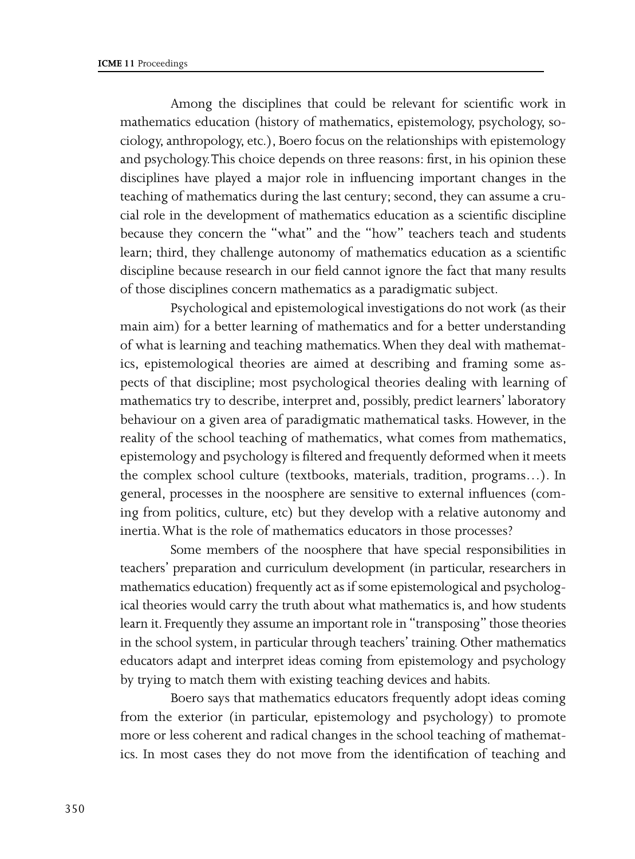Among the disciplines that could be relevant for scientific work in mathematics education (history of mathematics, epistemology, psychology, sociology, anthropology, etc.), Boero focus on the relationships with epistemology and psychology. This choice depends on three reasons: first, in his opinion these disciplines have played a major role in influencing important changes in the teaching of mathematics during the last century; second, they can assume a crucial role in the development of mathematics education as a scientific discipline because they concern the "what" and the "how" teachers teach and students learn; third, they challenge autonomy of mathematics education as a scientific discipline because research in our field cannot ignore the fact that many results of those disciplines concern mathematics as a paradigmatic subject.

Psychological and epistemological investigations do not work (as their main aim) for a better learning of mathematics and for a better understanding of what is learning and teaching mathematics. When they deal with mathematics, epistemological theories are aimed at describing and framing some aspects of that discipline; most psychological theories dealing with learning of mathematics try to describe, interpret and, possibly, predict learners' laboratory behaviour on a given area of paradigmatic mathematical tasks. However, in the reality of the school teaching of mathematics, what comes from mathematics, epistemology and psychology is filtered and frequently deformed when it meets the complex school culture (textbooks, materials, tradition, programs…). In general, processes in the noosphere are sensitive to external influences (coming from politics, culture, etc) but they develop with a relative autonomy and inertia. What is the role of mathematics educators in those processes?

Some members of the noosphere that have special responsibilities in teachers' preparation and curriculum development (in particular, researchers in mathematics education) frequently act as if some epistemological and psychological theories would carry the truth about what mathematics is, and how students learn it. Frequently they assume an important role in "transposing" those theories in the school system, in particular through teachers' training. Other mathematics educators adapt and interpret ideas coming from epistemology and psychology by trying to match them with existing teaching devices and habits.

Boero says that mathematics educators frequently adopt ideas coming from the exterior (in particular, epistemology and psychology) to promote more or less coherent and radical changes in the school teaching of mathematics. In most cases they do not move from the identification of teaching and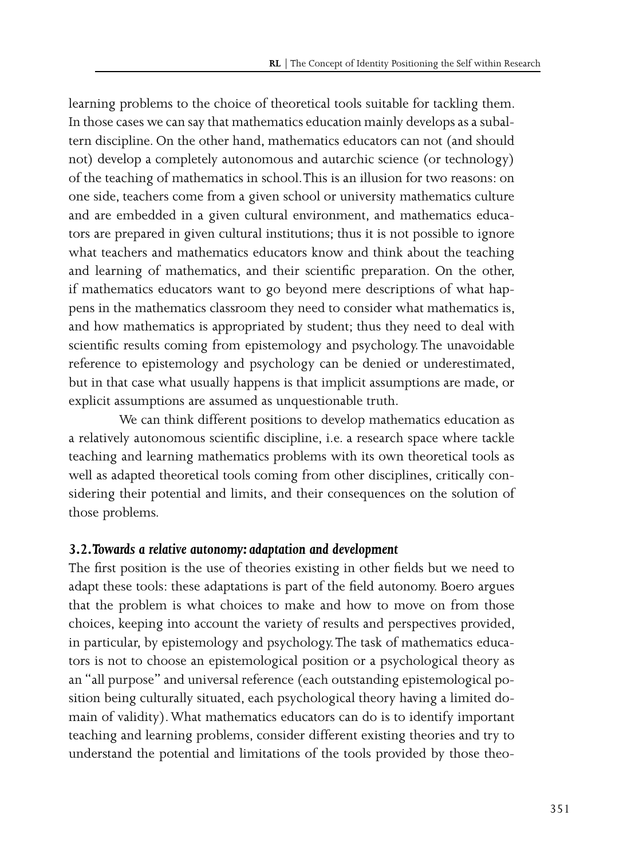learning problems to the choice of theoretical tools suitable for tackling them. In those cases we can say that mathematics education mainly develops as a subaltern discipline. On the other hand, mathematics educators can not (and should not) develop a completely autonomous and autarchic science (or technology) of the teaching of mathematics in school. This is an illusion for two reasons: on one side, teachers come from a given school or university mathematics culture and are embedded in a given cultural environment, and mathematics educators are prepared in given cultural institutions; thus it is not possible to ignore what teachers and mathematics educators know and think about the teaching and learning of mathematics, and their scientific preparation. On the other, if mathematics educators want to go beyond mere descriptions of what happens in the mathematics classroom they need to consider what mathematics is, and how mathematics is appropriated by student; thus they need to deal with scientific results coming from epistemology and psychology. The unavoidable reference to epistemology and psychology can be denied or underestimated, but in that case what usually happens is that implicit assumptions are made, or explicit assumptions are assumed as unquestionable truth.

We can think different positions to develop mathematics education as a relatively autonomous scientific discipline, i.e. a research space where tackle teaching and learning mathematics problems with its own theoretical tools as well as adapted theoretical tools coming from other disciplines, critically considering their potential and limits, and their consequences on the solution of those problems.

### *3.2. Towards a relative autonomy: adaptation and development*

The first position is the use of theories existing in other fields but we need to adapt these tools: these adaptations is part of the field autonomy. Boero argues that the problem is what choices to make and how to move on from those choices, keeping into account the variety of results and perspectives provided, in particular, by epistemology and psychology. The task of mathematics educators is not to choose an epistemological position or a psychological theory as an "all purpose" and universal reference (each outstanding epistemological position being culturally situated, each psychological theory having a limited domain of validity). What mathematics educators can do is to identify important teaching and learning problems, consider different existing theories and try to understand the potential and limitations of the tools provided by those theo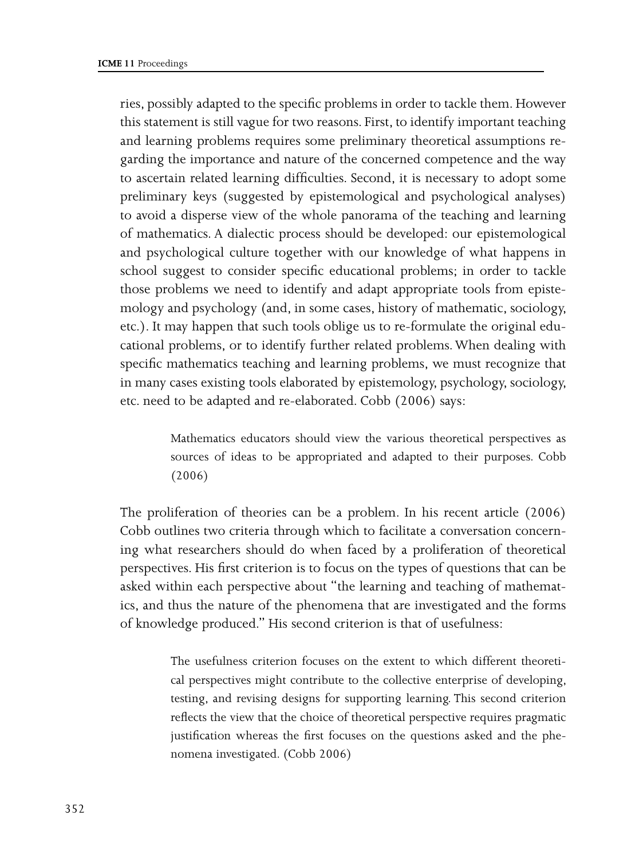ries, possibly adapted to the specific problems in order to tackle them. However this statement is still vague for two reasons. First, to identify important teaching and learning problems requires some preliminary theoretical assumptions regarding the importance and nature of the concerned competence and the way to ascertain related learning difficulties. Second, it is necessary to adopt some preliminary keys (suggested by epistemological and psychological analyses) to avoid a disperse view of the whole panorama of the teaching and learning of mathematics. A dialectic process should be developed: our epistemological and psychological culture together with our knowledge of what happens in school suggest to consider specific educational problems; in order to tackle those problems we need to identify and adapt appropriate tools from epistemology and psychology (and, in some cases, history of mathematic, sociology, etc.). It may happen that such tools oblige us to re-formulate the original educational problems, or to identify further related problems. When dealing with specific mathematics teaching and learning problems, we must recognize that in many cases existing tools elaborated by epistemology, psychology, sociology, etc. need to be adapted and re-elaborated. Cobb (2006) says:

> Mathematics educators should view the various theoretical perspectives as sources of ideas to be appropriated and adapted to their purposes. Cobb (2006)

The proliferation of theories can be a problem. In his recent article (2006) Cobb outlines two criteria through which to facilitate a conversation concerning what researchers should do when faced by a proliferation of theoretical perspectives. His first criterion is to focus on the types of questions that can be asked within each perspective about "the learning and teaching of mathematics, and thus the nature of the phenomena that are investigated and the forms of knowledge produced." His second criterion is that of usefulness:

> The usefulness criterion focuses on the extent to which different theoretical perspectives might contribute to the collective enterprise of developing, testing, and revising designs for supporting learning. This second criterion reflects the view that the choice of theoretical perspective requires pragmatic justification whereas the first focuses on the questions asked and the phenomena investigated. (Cobb 2006)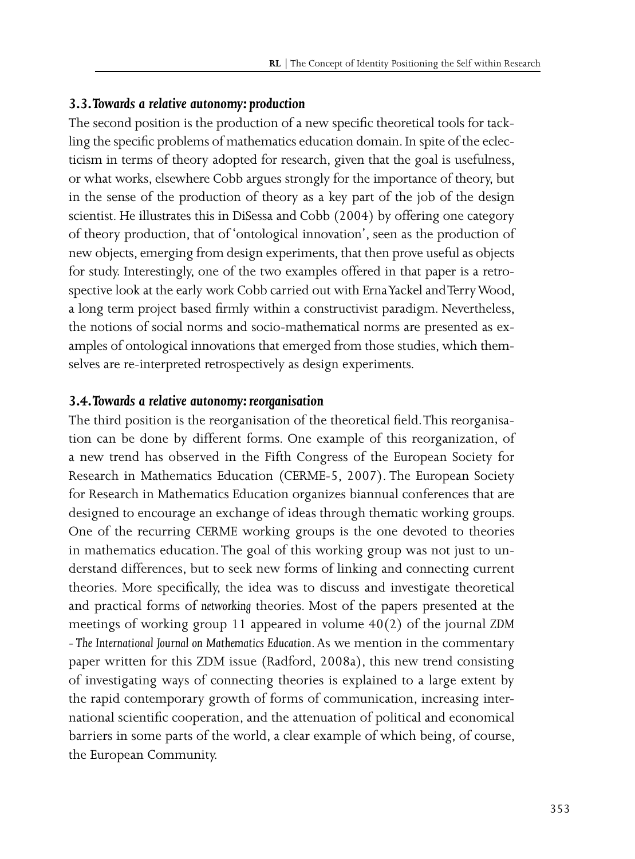#### *3.3. Towards a relative autonomy: production*

The second position is the production of a new specific theoretical tools for tackling the specific problems of mathematics education domain. In spite of the eclecticism in terms of theory adopted for research, given that the goal is usefulness, or what works, elsewhere Cobb argues strongly for the importance of theory, but in the sense of the production of theory as a key part of the job of the design scientist. He illustrates this in DiSessa and Cobb (2004) by offering one category of theory production, that of 'ontological innovation', seen as the production of new objects, emerging from design experiments, that then prove useful as objects for study. Interestingly, one of the two examples offered in that paper is a retrospective look at the early work Cobb carried out with Erna Yackel and Terry Wood, a long term project based firmly within a constructivist paradigm. Nevertheless, the notions of social norms and socio-mathematical norms are presented as examples of ontological innovations that emerged from those studies, which themselves are re-interpreted retrospectively as design experiments.

#### *3.4. Towards a relative autonomy: reorganisation*

The third position is the reorganisation of the theoretical field. This reorganisation can be done by different forms. One example of this reorganization, of a new trend has observed in the Fifth Congress of the European Society for Research in Mathematics Education (CERME-5, 2007). The European Society for Research in Mathematics Education organizes biannual conferences that are designed to encourage an exchange of ideas through thematic working groups. One of the recurring CERME working groups is the one devoted to theories in mathematics education. The goal of this working group was not just to understand differences, but to seek new forms of linking and connecting current theories. More specifically, the idea was to discuss and investigate theoretical and practical forms of *networking* theories. Most of the papers presented at the meetings of working group 11 appeared in volume 40(2) of the journal *ZDM - The International Journal on Mathematics Education*. As we mention in the commentary paper written for this ZDM issue (Radford, 2008a), this new trend consisting of investigating ways of connecting theories is explained to a large extent by the rapid contemporary growth of forms of communication, increasing international scientific cooperation, and the attenuation of political and economical barriers in some parts of the world, a clear example of which being, of course, the European Community.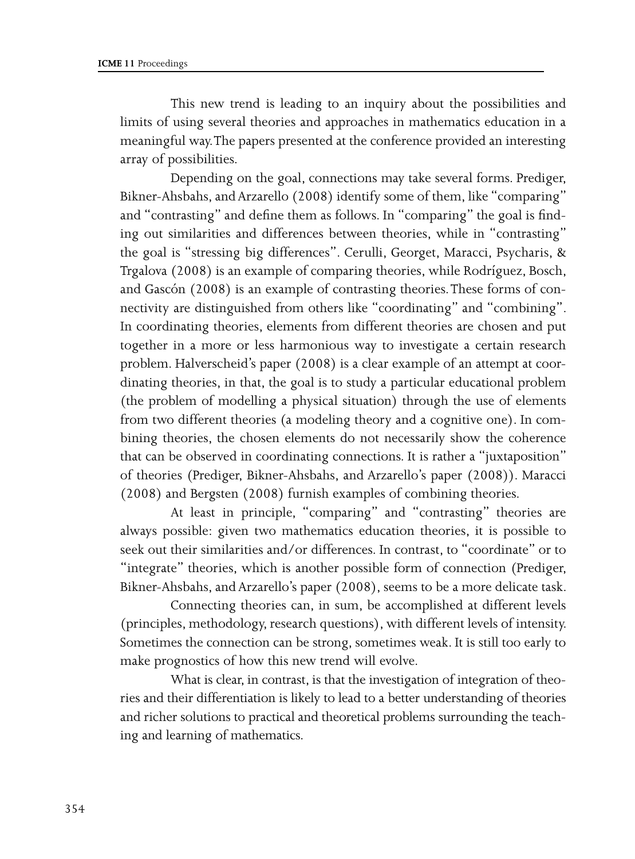This new trend is leading to an inquiry about the possibilities and limits of using several theories and approaches in mathematics education in a meaningful way. The papers presented at the conference provided an interesting array of possibilities.

Depending on the goal, connections may take several forms. Prediger, Bikner-Ahsbahs, and Arzarello (2008) identify some of them, like "comparing" and "contrasting" and define them as follows. In "comparing" the goal is finding out similarities and differences between theories, while in "contrasting" the goal is "stressing big differences". Cerulli, Georget, Maracci, Psycharis, & Trgalova (2008) is an example of comparing theories, while Rodríguez, Bosch, and Gascón (2008) is an example of contrasting theories. These forms of connectivity are distinguished from others like "coordinating" and "combining". In coordinating theories, elements from different theories are chosen and put together in a more or less harmonious way to investigate a certain research problem. Halverscheid's paper (2008) is a clear example of an attempt at coordinating theories, in that, the goal is to study a particular educational problem (the problem of modelling a physical situation) through the use of elements from two different theories (a modeling theory and a cognitive one). In combining theories, the chosen elements do not necessarily show the coherence that can be observed in coordinating connections. It is rather a "juxtaposition" of theories (Prediger, Bikner-Ahsbahs, and Arzarello's paper (2008)). Maracci (2008) and Bergsten (2008) furnish examples of combining theories.

At least in principle, "comparing" and "contrasting" theories are always possible: given two mathematics education theories, it is possible to seek out their similarities and/or differences. In contrast, to "coordinate" or to "integrate" theories, which is another possible form of connection (Prediger, Bikner-Ahsbahs, and Arzarello's paper (2008), seems to be a more delicate task.

Connecting theories can, in sum, be accomplished at different levels (principles, methodology, research questions), with different levels of intensity. Sometimes the connection can be strong, sometimes weak. It is still too early to make prognostics of how this new trend will evolve.

What is clear, in contrast, is that the investigation of integration of theories and their differentiation is likely to lead to a better understanding of theories and richer solutions to practical and theoretical problems surrounding the teaching and learning of mathematics.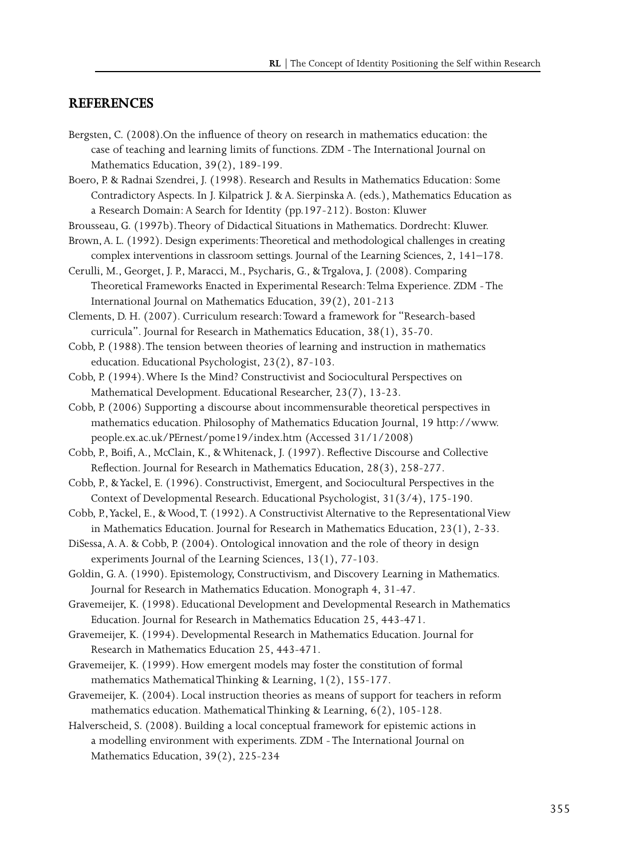#### **REFERENCES**

- Bergsten, C. (2008).On the influence of theory on research in mathematics education: the case of teaching and learning limits of functions. ZDM - The International Journal on Mathematics Education, 39(2), 189-199.
- Boero, P. & Radnai Szendrei, J. (1998). Research and Results in Mathematics Education: Some Contradictory Aspects. In J. Kilpatrick J. & A. Sierpinska A. (eds.), Mathematics Education as a Research Domain: A Search for Identity (pp.197-212). Boston: Kluwer
- Brousseau, G. (1997b). Theory of Didactical Situations in Mathematics. Dordrecht: Kluwer.
- Brown, A. L. (1992). Design experiments: Theoretical and methodological challenges in creating complex interventions in classroom settings. Journal of the Learning Sciences, 2, 141–178.
- Cerulli, M., Georget, J. P., Maracci, M., Psycharis, G., & Trgalova, J. (2008). Comparing Theoretical Frameworks Enacted in Experimental Research: Telma Experience. ZDM - The International Journal on Mathematics Education, 39(2), 201-213

Clements, D. H. (2007). Curriculum research: Toward a framework for "Research-based curricula". Journal for Research in Mathematics Education, 38(1), 35-70.

Cobb, P. (1988). The tension between theories of learning and instruction in mathematics education. Educational Psychologist, 23(2), 87-103.

- Cobb, P. (1994). Where Is the Mind? Constructivist and Sociocultural Perspectives on Mathematical Development. Educational Researcher, 23(7), 13-23.
- Cobb, P. (2006) Supporting a discourse about incommensurable theoretical perspectives in mathematics education. Philosophy of Mathematics Education Journal, 19 http://www. people.ex.ac.uk/PErnest/pome19/index.htm (Accessed 31/1/2008)
- Cobb, P., Boifi, A., McClain, K., & Whitenack, J. (1997). Reflective Discourse and Collective Reflection. Journal for Research in Mathematics Education, 28(3), 258-277.

Cobb, P., & Yackel, E. (1996). Constructivist, Emergent, and Sociocultural Perspectives in the Context of Developmental Research. Educational Psychologist, 31(3/4), 175-190.

- Cobb, P., Yackel, E., & Wood, T. (1992). A Constructivist Alternative to the Representational View in Mathematics Education. Journal for Research in Mathematics Education, 23(1), 2-33.
- DiSessa, A. A. & Cobb, P. (2004). Ontological innovation and the role of theory in design experiments Journal of the Learning Sciences, 13(1), 77-103.
- Goldin, G. A. (1990). Epistemology, Constructivism, and Discovery Learning in Mathematics. Journal for Research in Mathematics Education. Monograph 4, 31-47.
- Gravemeijer, K. (1998). Educational Development and Developmental Research in Mathematics Education. Journal for Research in Mathematics Education 25, 443-471.
- Gravemeijer, K. (1994). Developmental Research in Mathematics Education. Journal for Research in Mathematics Education 25, 443-471.
- Gravemeijer, K. (1999). How emergent models may foster the constitution of formal mathematics Mathematical Thinking & Learning, 1(2), 155-177.
- Gravemeijer, K. (2004). Local instruction theories as means of support for teachers in reform mathematics education. Mathematical Thinking & Learning, 6(2), 105-128.
- Halverscheid, S. (2008). Building a local conceptual framework for epistemic actions in a modelling environment with experiments. ZDM - The International Journal on Mathematics Education, 39(2), 225-234